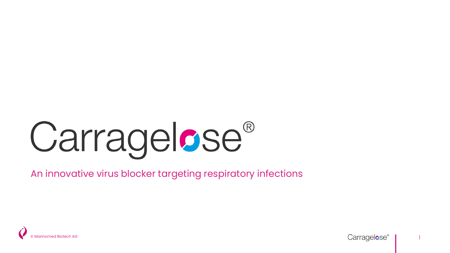# **Carragelose®**

An innovative virus blocker targeting respiratory infections



1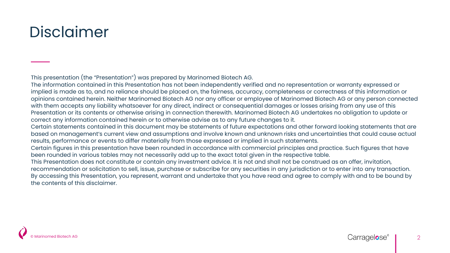### Disclaimer

This presentation (the "Presentation") was prepared by Marinomed Biotech AG.

The information contained in this Presentation has not been independently verified and no representation or warranty expressed or implied is made as to, and no reliance should be placed on, the fairness, accuracy, completeness or correctness of this information or opinions contained herein. Neither Marinomed Biotech AG nor any officer or employee of Marinomed Biotech AG or any person connected with them accepts any liability whatsoever for any direct, indirect or consequential damages or losses arising from any use of this Presentation or its contents or otherwise arising in connection therewith. Marinomed Biotech AG undertakes no obligation to update or correct any information contained herein or to otherwise advise as to any future changes to it.

Certain statements contained in this document may be statements of future expectations and other forward looking statements that are based on management's current view and assumptions and involve known and unknown risks and uncertainties that could cause actual results, performance or events to differ materially from those expressed or implied in such statements.

Certain figures in this presentation have been rounded in accordance with commercial principles and practice. Such figures that have been rounded in various tables may not necessarily add up to the exact total given in the respective table.

This Presentation does not constitute or contain any investment advice. It is not and shall not be construed as an offer, invitation, recommendation or solicitation to sell, issue, purchase or subscribe for any securities in any jurisdiction or to enter into any transaction. By accessing this Presentation, you represent, warrant and undertake that you have read and agree to comply with and to be bound by the contents of this disclaimer.

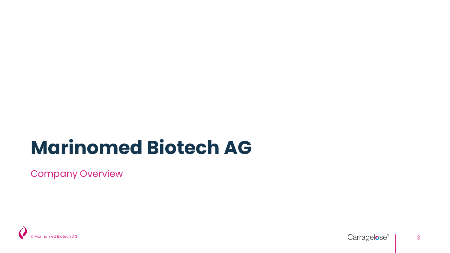## **Marinomed Biotech AG**

Company Overview



3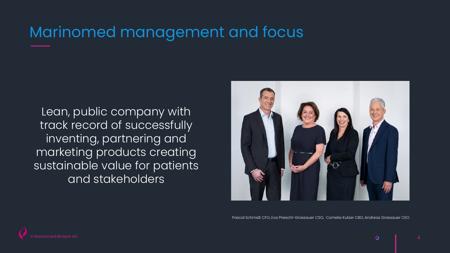### Marinomed management and focus

Lean, public company with track record of successfully inventing, partnering and marketing products creating sustainable value for patients and stakeholders



Pascal Schmidt CFO, Eva Prieschl-Grassauer CSO, Cornelia Kutzer CBO, Andreas Grassauer CEO

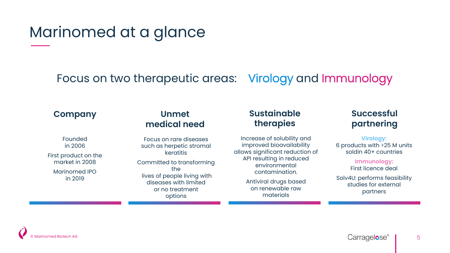### Marinomed at a glance

Focus on two therapeutic areas: Virology and Immunology

#### **Company**

#### **Unmet medical need**

Founded in 2006 First product on the market in 2008 Marinomed IPO

in 2019

Focus on rare diseases such as herpetic stromal keratitis Committed to transforming the lives of people living with diseases with limited or no treatment options

#### **Sustainable therapies**

Increase of solubility and improved bioavailability allows significant reduction of API resulting in reduced environmental contamination.

> Antiviral drugs based on renewable raw materials

#### **Successful partnering**

**Virology:**  6 products with >25 M units soldin 40+ countries

> **Immunology:**  First licence deal

Solv4U: performs feasibility studies for external partners

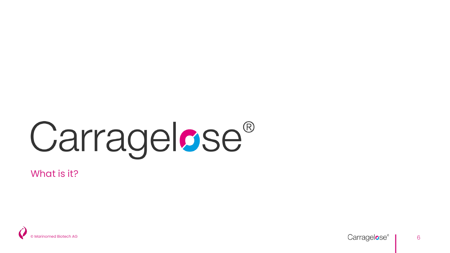# **Carragelose®**

What is it ?

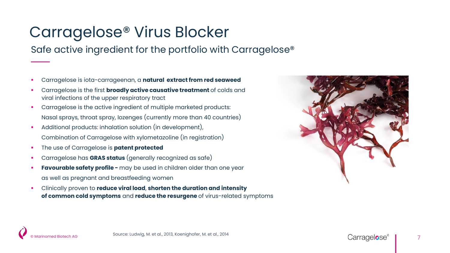### Carragelose® Virus Blocker

Safe active ingredient for the portfolio with Carragelose®

- Carragelose is iota-carrageenan, a **natural extract from red seaweed**
- Carragelose is the first **broadly active causative treatment** of colds and viral infections of the upper respiratory tract
- Carragelose is the active ingredient of multiple marketed products: Nasal sprays, throat spray, lozenges (currently more than 40 countries)
- Additional products: inhalation solution (in development), Combination of Carragelose with xylometazoline (in registration)
- The use of Carragelose is **patent protected**
- Carragelose has **GRAS status** (generally recognized as safe)
- **Favourable safety profile -** may be used in children older than one year as well as pregnant and breastfeeding women
- Clinically proven to **reduce viral load**, **shorten the duration and intensity of common cold symptoms** and **reduce the resurgene** of virus-related symptoms

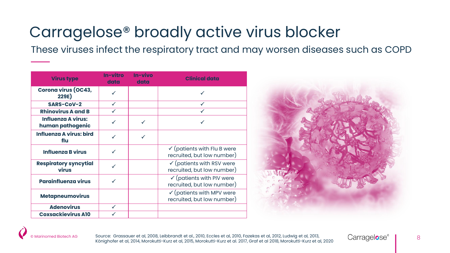### Carragelose® broadly active virus blocker

These viruses infect the respiratory tract and may worsen diseases such as COPD

| <b>Virus type</b>                             | In-vitro<br>data | In-vivo<br>data | <b>Clinical data</b>                                                 |
|-----------------------------------------------|------------------|-----------------|----------------------------------------------------------------------|
| <b>Corona virus (OC43,</b><br>229E)           |                  |                 |                                                                      |
| SARS-CoV-2                                    | ✓                |                 | $\checkmark$                                                         |
| <b>Rhinovirus A and B</b>                     |                  |                 |                                                                      |
| <b>Influenza A virus:</b><br>human pathogenic |                  | $\checkmark$    |                                                                      |
| <b>Influenza A virus: bird</b><br>flu         | ✓                | $\checkmark$    |                                                                      |
| <b>Influenza B virus</b>                      |                  |                 | $\checkmark$ (patients with Flu B were<br>recruited, but low number) |
| <b>Respiratory syncytial</b><br>virus         |                  |                 | $\checkmark$ (patients with RSV were<br>recruited, but low number)   |
| <b>Parainfluenza virus</b>                    |                  |                 | $\checkmark$ (patients with PIV were<br>recruited, but low number)   |
| <b>Metapneumovirus</b>                        |                  |                 | $\checkmark$ (patients with MPV were<br>recruited, but low number)   |
| <b>Adenovirus</b>                             | ✓                |                 |                                                                      |
| <b>Coxsackievirus A10</b>                     |                  |                 |                                                                      |



Source: Grassauer et al, 2008, Leibbrandt et al., 2010, Eccles et al, 2010, Fazekas et al, 2012, Ludwig et al, 2013, Source: Grassauer et al, 2008, Leibbrandt et al., 2010, Eccles et al, 2010, Fazekas et al, 2012, Ludwig et al, 2013,<br>Könighofer et al, 2014, Morokutti-Kurz et al, 2015, Morokutti-Kurz et al. 2017, Graf et al 2018, Morokutt

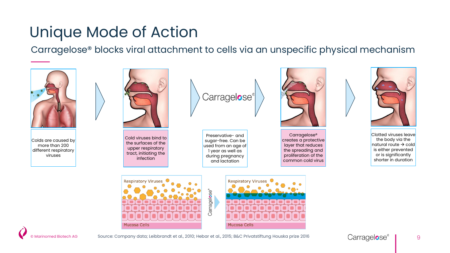## Unique Mode of Action

Carragelose® blocks viral attachment to cells via an unspecific physical mechanism









Marinomed Biotech AG Source: Company data; Leibbrandt et al., 2010; Hebar et al., 2015; B&C Privatstiftung Houska prize 2016 **Carragelose** Parte Carre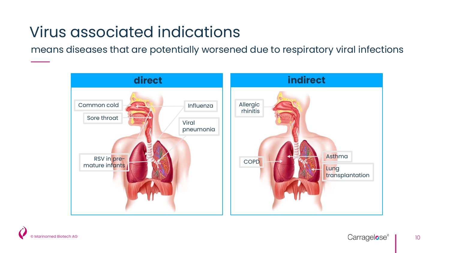## Virus associated indications

means diseases that are potentially worsened due to respiratory viral infections





10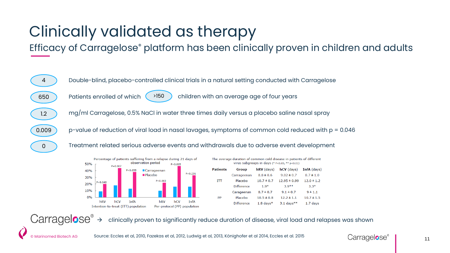## Clinically validated as therapy

Efficacy of Carragelose® platform has been clinically proven in children and adults





© Marinomed Biotech AG

| The average duration or common cold disease in patients or different<br>virus subgroups in days $(* P < 0.05, ** P < 0.01)$ |                   |                |                  |                |  |  |  |  |  |
|-----------------------------------------------------------------------------------------------------------------------------|-------------------|----------------|------------------|----------------|--|--|--|--|--|
| <b>Patients</b>                                                                                                             | Group             | $hRV$ (days)   | $hCV$ (days)     | InfA (days)    |  |  |  |  |  |
|                                                                                                                             | Carrageenan       | $8.8 \pm 0.6$  | $9.02 \pm 0.7$   | $8.7 \pm 1.0$  |  |  |  |  |  |
| IП                                                                                                                          | Placebo           | $10.7 \pm 0.7$ | $12.95 \pm 0.99$ | $12.0 \pm 1.2$ |  |  |  |  |  |
|                                                                                                                             | <b>Difference</b> | $1.9*$         | $3.9**$          | $3.3*$         |  |  |  |  |  |
|                                                                                                                             | Carageenan        | $8.7 \pm 0.7$  | $9.1 \pm 0.7$    | 9 ± 1.1        |  |  |  |  |  |
| PP                                                                                                                          | Placebo           | $10.5 \pm 0.8$ | $12.2 \pm 1.1$   | $10.7 \pm 1.5$ |  |  |  |  |  |
|                                                                                                                             | <b>Difference</b> | $1.8$ days*    | $3.1$ days**     | $1.7$ days     |  |  |  |  |  |

 $Carrage  $\bullet$  = clinically proven to significantly reduce duration of disease, viral load and relapses was shown$ 

Source: Eccles et al, 2010, Fazekas et al, 2012, Ludwig et al, 2013, Könighofer et al 2014, Eccles et al. 2015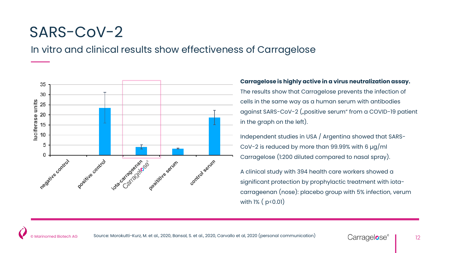#### SARS-CoV-2

In vitro and clinical results show effectiveness of Carragelose



#### **Carragelose is highly active in a virus neutralization assay.**

The results show that Carragelose prevents the infection of cells in the same way as a human serum with antibodies against SARS-CoV-2 ("positive serum" from a COVID-19 patient in the graph on the left).

Independent studies in USA / Argentina showed that SARS-CoV-2 is reduced by more than 99.99% with 6 µg/ml Carragelose (1:200 diluted compared to nasal spray).

A clinical study with 394 health care workers showed a significant protection by prophylactic treatment with iotacarrageenan (nose): placebo group with 5% infection, verum with  $1\%$  (  $p < 0.01$ )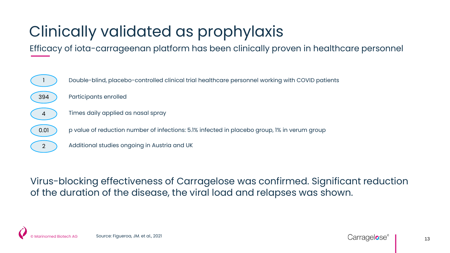## Clinically validated as prophylaxis

Efficacy of iota-carrageenan platform has been clinically proven in healthcare personnel



Virus-blocking effectiveness of Carragelose was confirmed. Significant reduction of the duration of the disease, the viral load and relapses was shown.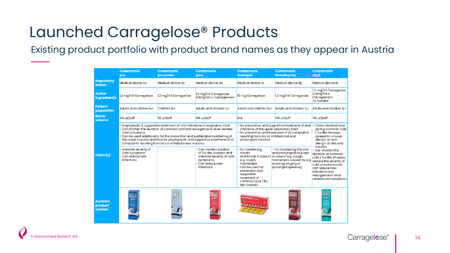#### Launched Carragelose® Products

Existing product portfolio with product brand names as they appear in Austria

|                                       | <b>Coldamaris</b><br>pro                                                                                                                                                                                                                                                                                                                                                                                                                        | <b>Coldamaris</b><br>pro junior | <b>Coldamaris</b><br>plus                                                                           | <b>Coldamaris</b><br>lozenges                                                                                                                                                                                                                                         | <b>Coldamaris</b><br>throatspray                                                                                          | <b>Coldamaris</b><br>akut                                                                                                                                                            |
|---------------------------------------|-------------------------------------------------------------------------------------------------------------------------------------------------------------------------------------------------------------------------------------------------------------------------------------------------------------------------------------------------------------------------------------------------------------------------------------------------|---------------------------------|-----------------------------------------------------------------------------------------------------|-----------------------------------------------------------------------------------------------------------------------------------------------------------------------------------------------------------------------------------------------------------------------|---------------------------------------------------------------------------------------------------------------------------|--------------------------------------------------------------------------------------------------------------------------------------------------------------------------------------|
| <b>Regulatory</b><br><b>status</b>    | Medical device lla                                                                                                                                                                                                                                                                                                                                                                                                                              | Medical device Ila              | Medical device Ila                                                                                  | Medical device Ila                                                                                                                                                                                                                                                    | Medical device lla                                                                                                        | Medical device Is                                                                                                                                                                    |
| <b>Active</b><br>ingredient/s         | 1.2 mg/ml Carragelose                                                                                                                                                                                                                                                                                                                                                                                                                           | 1.2 mg/ml Carragelose           | 1.2 mg/ml Carragelose<br>0.4mg/ml k-Carrageenan                                                     | 10 mg Carragelose                                                                                                                                                                                                                                                     | 1.2 mg/ml Carragelose                                                                                                     | 1.2 mg/ml Carragelose<br>$0.4$ mg/ml $\kappa$ -<br>Carrageenan<br>7% Sorbitol                                                                                                        |
| <b>Patient</b><br>population          | Adults and children ly+                                                                                                                                                                                                                                                                                                                                                                                                                         | Children ly+                    | Adults and children ly+                                                                             | Adults and children 6y+                                                                                                                                                                                                                                               | Adults and children lv+                                                                                                   | Adults and children ly+                                                                                                                                                              |
| <b>Spray</b><br>volume                | 140 µl/puff                                                                                                                                                                                                                                                                                                                                                                                                                                     | 50 µl/puff                      | 140 µl/puff                                                                                         | N.a.                                                                                                                                                                                                                                                                  | 140 µl/puff                                                                                                               | 140 µl/puff                                                                                                                                                                          |
|                                       | Prophylactic & supportive treatment of viral infections of respiratory tract<br>Can shorten the duration of common cold and resurgence of virus-related<br>cold symptoms<br>Can be used additionally for the prevention and sustainable moistening of<br>the nasal mucosa and thus for prophylactic and supportive treatment of all<br>complaints resulting from dry or irritated nasal mucosa<br>Can shorten duration<br>Alleviate severity of |                                 |                                                                                                     | - For prevention and supportive treatment of viral<br>infections of the upper respiratory tract<br>- For prevention and treatment of all complaints<br>resulting from dry or irritated oral and<br>pharyngeal mucosa<br>- For moistening<br>- For moistening the oral |                                                                                                                           | Clears blocked nose<br>during common cold<br>/ flu-like illnesses<br>caused by viruses,<br>allergic or non-<br>allergic rhinitis and<br>sinusitis<br>- Can shorten the               |
| Claim(s)                              | cold symptoms<br>Can reduce new<br>infections                                                                                                                                                                                                                                                                                                                                                                                                   |                                 | of flu-like illnesses and<br>alleviate severity of cold<br>symptoms<br>Can reduce new<br>infections | mouth<br>and throat in case of<br>e.g. cough,<br>hoarseness<br>Can be used for<br>prevention and<br>supportive<br>treatment of<br>common cold / flu-<br>like illnesses                                                                                                | and pharyngeal mucosa<br>in case of e.g. cough,<br>hoarseness caused by e.g.<br>smoking, singing or<br>prolonged speaking | duration of common<br>cold / flu-like illnesses,<br>reduce the severity of<br>cold symptoms and<br>can reduce new<br>infections and<br>resurgence of virus-<br>related cold symptoms |
| <b>Austrian</b><br>product<br>version | COLDA<br>Maris<br>pro.                                                                                                                                                                                                                                                                                                                                                                                                                          | BOLOAN<br>MARIIS<br>بناور       | COLDA<br>MARIS<br><i>plus</i>                                                                       | monda                                                                                                                                                                                                                                                                 | COLDA<br>Maris<br><b><i><u>Parkerson</u></i></b><br>S                                                                     | <b>COLDA</b><br><b>MARIS</b><br>akut                                                                                                                                                 |